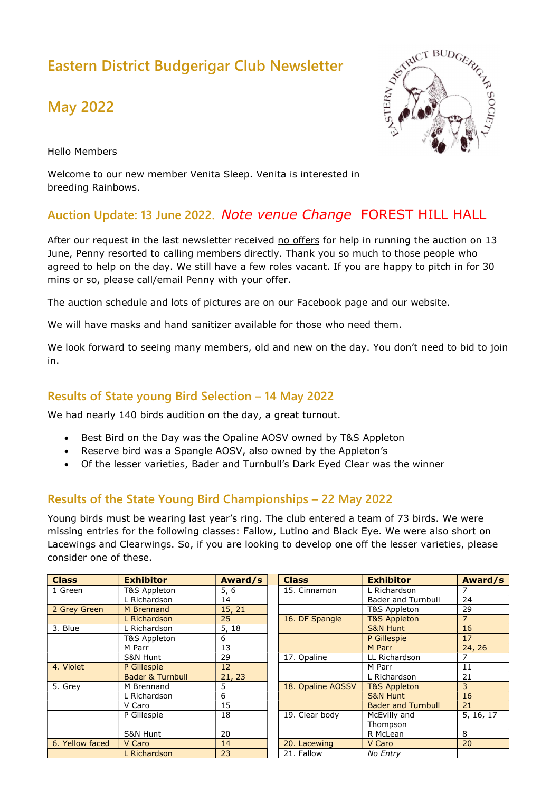# Eastern District Budgerigar Club Newsletter

# May 2022



Hello Members

Welcome to our new member Venita Sleep. Venita is interested in breeding Rainbows.

## Auction Update: 13 June 2022. Note venue Change FOREST HILL HALL

After our request in the last newsletter received no offers for help in running the auction on 13 June, Penny resorted to calling members directly. Thank you so much to those people who agreed to help on the day. We still have a few roles vacant. If you are happy to pitch in for 30 mins or so, please call/email Penny with your offer.

The auction schedule and lots of pictures are on our Facebook page and our website.

We will have masks and hand sanitizer available for those who need them.

We look forward to seeing many members, old and new on the day. You don't need to bid to join in.

### Results of State young Bird Selection – 14 May 2022

We had nearly 140 birds audition on the day, a great turnout.

- Best Bird on the Day was the Opaline AOSV owned by T&S Appleton
- Reserve bird was a Spangle AOSV, also owned by the Appleton's
- Of the lesser varieties, Bader and Turnbull's Dark Eyed Clear was the winner

### Results of the State Young Bird Championships – 22 May 2022

Young birds must be wearing last year's ring. The club entered a team of 73 birds. We were missing entries for the following classes: Fallow, Lutino and Black Eye. We were also short on Lacewings and Clearwings. So, if you are looking to develop one off the lesser varieties, please consider one of these.

| <b>Class</b>    | <b>Exhibitor</b>            | Award/s | <b>Class</b>      | <b>Exhibitor</b>          | Award/s        |
|-----------------|-----------------------------|---------|-------------------|---------------------------|----------------|
| 1 Green         | T&S Appleton                | 5, 6    | 15. Cinnamon      | L Richardson              |                |
|                 | L Richardson                | 14      |                   | <b>Bader and Turnbull</b> | 24             |
| 2 Grey Green    | M Brennand                  | 15, 21  |                   | T&S Appleton              | 29             |
|                 | L Richardson                | 25      | 16. DF Spangle    | <b>T&amp;S Appleton</b>   | $\overline{7}$ |
| 3. Blue         | Richardson                  | 5, 18   |                   | <b>S&amp;N Hunt</b>       | 16             |
|                 | T&S Appleton                | 6       |                   | P Gillespie               | 17             |
|                 | M Parr                      | 13      |                   | M Parr                    | 24, 26         |
|                 | S&N Hunt                    | 29      | 17. Opaline       | LL Richardson             | 7              |
| 4. Violet       | P Gillespie                 | 12      |                   | M Parr                    | 11             |
|                 | <b>Bader &amp; Turnbull</b> | 21, 23  |                   | L Richardson              | 21             |
| 5. Grey         | M Brennand                  | 5       | 18. Opaline AOSSV | <b>T&amp;S Appleton</b>   | 3              |
|                 | L Richardson                | 6       |                   | <b>S&amp;N Hunt</b>       | 16             |
|                 | V Caro                      | 15      |                   | <b>Bader and Turnbull</b> | 21             |
|                 | P Gillespie                 | 18      | 19. Clear body    | McEvilly and              | 5, 16, 17      |
|                 |                             |         |                   | Thompson                  |                |
|                 | S&N Hunt                    | 20      |                   | R McLean                  | 8              |
| 6. Yellow faced | V Caro                      | 14      | 20. Lacewing      | V Caro                    | 20             |
|                 | L Richardson                | 23      | 21. Fallow        | No Entry                  |                |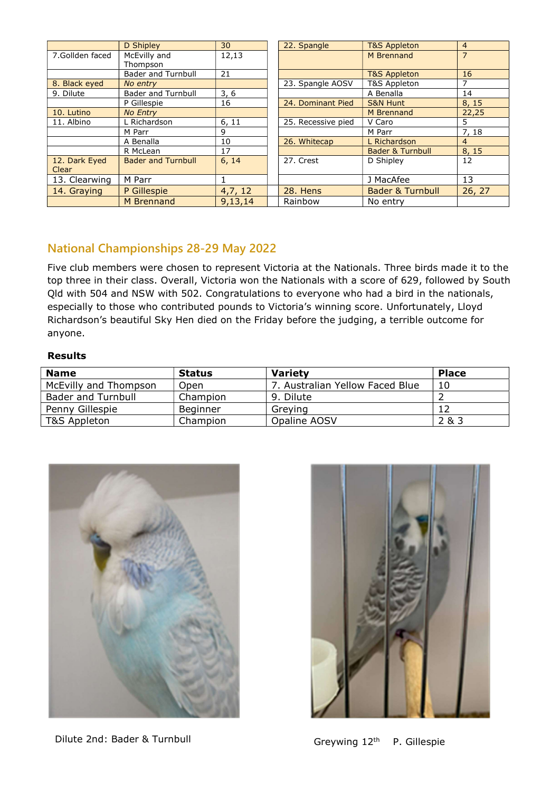|                 | D Shipley                 | 30           | 22. Spangle        | <b>T&amp;S Appleton</b>     | $\overline{4}$ |
|-----------------|---------------------------|--------------|--------------------|-----------------------------|----------------|
| 7.Gollden faced | McEvilly and              | 12,13        |                    | M Brennand                  | $\overline{7}$ |
|                 | Thompson                  |              |                    |                             |                |
|                 | <b>Bader and Turnbull</b> | 21           |                    | <b>T&amp;S Appleton</b>     | 16             |
| 8. Black eyed   | No entry                  |              | 23. Spangle AOSV   | T&S Appleton                |                |
| 9. Dilute       | <b>Bader and Turnbull</b> | 3, 6         |                    | A Benalla                   | 14             |
|                 | P Gillespie               | 16           | 24. Dominant Pied  | <b>S&amp;N Hunt</b>         | 8, 15          |
| 10. Lutino      | <b>No Entry</b>           |              |                    | M Brennand                  | 22,25          |
| 11. Albino      | L Richardson              | 6, 11        | 25. Recessive pied | V Caro                      | 5              |
|                 | M Parr                    | 9            |                    | M Parr                      | 7, 18          |
|                 | A Benalla                 | 10           | 26. Whitecap       | L Richardson                | $\overline{4}$ |
|                 | R McLean                  | 17           |                    | <b>Bader &amp; Turnbull</b> | 8, 15          |
| 12. Dark Eyed   | <b>Bader and Turnbull</b> | 6, 14        | 27. Crest          | D Shipley                   | 12             |
| Clear           |                           |              |                    |                             |                |
| 13. Clearwing   | M Parr                    | $\mathbf{1}$ |                    | J MacAfee                   | 13             |
| 14. Graying     | P Gillespie               | 4,7,12       | 28. Hens           | <b>Bader &amp; Turnbull</b> | 26, 27         |
|                 | M Brennand                | 9,13,14      | Rainbow            | No entry                    |                |

### National Championships 28-29 May 2022

Five club members were chosen to represent Victoria at the Nationals. Three birds made it to the top three in their class. Overall, Victoria won the Nationals with a score of 629, followed by South Qld with 504 and NSW with 502. Congratulations to everyone who had a bird in the nationals, especially to those who contributed pounds to Victoria's winning score. Unfortunately, Lloyd Richardson's beautiful Sky Hen died on the Friday before the judging, a terrible outcome for anyone.

#### Results

| <b>Name</b>           | <b>Status</b> | <b>Variety</b>                  | <b>Place</b> |
|-----------------------|---------------|---------------------------------|--------------|
| McEvilly and Thompson | Open          | 7. Australian Yellow Faced Blue | 10           |
| Bader and Turnbull    | Champion      | 9. Dilute                       |              |
| Penny Gillespie       | Beginner      | Greving                         |              |
| T&S Appleton          | Champion      | Opaline AOSV                    | 2 & 3        |



Dilute 2nd: Bader & Turnbull Greywing 12<sup>th</sup> P. Gillespie